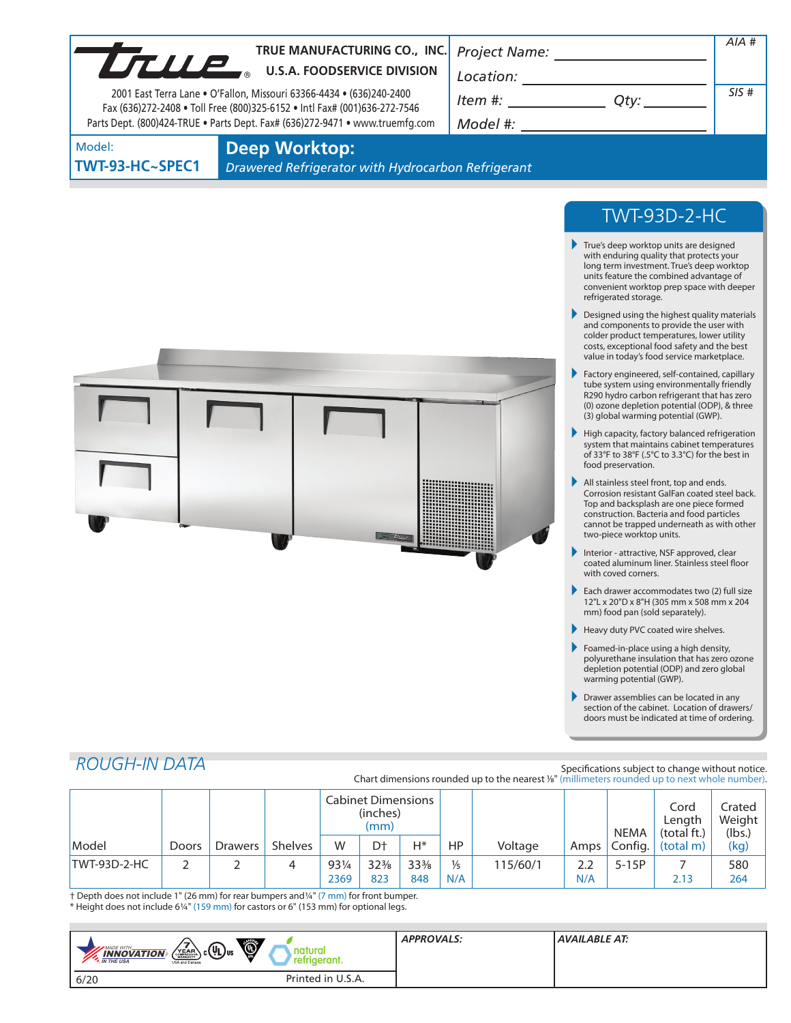| LTULE                     | TRUE MANUFACTURING CO., INC.<br><b>U.S.A. FOODSERVICE DIVISION</b><br>2001 East Terra Lane • O'Fallon, Missouri 63366-4434 • (636)240-2400<br>Fax (636)272-2408 . Toll Free (800)325-6152 . Intl Fax# (001)636-272-7546<br>Parts Dept. (800)424-TRUE . Parts Dept. Fax# (636)272-9471 . www.truemfg.com | <b>Project Name:</b><br>Location:<br>Item #:<br>Qty:<br>Model #: |  |  |
|---------------------------|---------------------------------------------------------------------------------------------------------------------------------------------------------------------------------------------------------------------------------------------------------------------------------------------------------|------------------------------------------------------------------|--|--|
| Model:<br>TWT-93-HC~SPEC1 | Deep Worktop:<br>Drawered Refrigerator with Hydrocarbon Refrigerant                                                                                                                                                                                                                                     |                                                                  |  |  |
|                           |                                                                                                                                                                                                                                                                                                         | TWT-93D-2-HC                                                     |  |  |



All stainless steel front, top and ends. Corrosion resistant GalFan coated steel back. Top and backsplash are one piece formed construction. Bacteria and food particles cannot be trapped underneath as with other two-piece worktop units.

True's deep worktop units are designed with enduring quality that protects your long term investment. True's deep worktop units feature the combined advantage of convenient worktop prep space with deeper

- Interior attractive, NSF approved, clear coated aluminum liner. Stainless steel floor with coved corners.
- Each drawer accommodates two (2) full size 12"L x 20"D x 8"H (305 mm x 508 mm x 204 mm) food pan (sold separately).
- Heavy duty PVC coated wire shelves.
- Foamed-in-place using a high density, polyurethane insulation that has zero ozone depletion potential (ODP) and zero global warming potential (GWP).
- Drawer assemblies can be located in any section of the cabinet. Location of drawers/ doors must be indicated at time of ordering.

# *ROUGH-IN DATA*

#### Specifications subject to change without notice. Chart dimensions rounded up to the nearest %" (millimeters rounded up to next whole number).

|              |              |                |         | <b>Cabinet Dimensions</b><br>(inches)<br>(mm) |                        |                        |                      |          | <b>NEMA</b> | Cord<br>Length<br>(total ft.) | Crated<br>Weight<br>(lbs.) |            |
|--------------|--------------|----------------|---------|-----------------------------------------------|------------------------|------------------------|----------------------|----------|-------------|-------------------------------|----------------------------|------------|
| Model        | <b>Doors</b> | <b>Drawers</b> | Shelves | W                                             | D+                     | $H^*$                  | HP.                  | Voltage  | Amps        | Config.                       | (total m)                  | (kg)       |
| TWT-93D-2-HC | h            |                | 4       | 931/4<br>2369                                 | $32\frac{3}{8}$<br>823 | $33\frac{3}{8}$<br>848 | $\frac{1}{5}$<br>N/A | 115/60/1 | 2.2<br>N/A  | $5-15P$                       | 2.13                       | 580<br>264 |

† Depth does not include 1" (26 mm) for rear bumpers and1/4" (7 mm) for front bumper. \* Height does not include 61/4" (159 mm) for castors or 6" (153 mm) for optional legs.

| $\circledcirc$<br>$\mathcal{C}_0(\mathbb{Q})$ us<br>MADE WITH_<br>natural<br>YEAR<br><b>INNOVATION</b><br>retrigerant.<br><b>*</b> IN THE USA<br>USA and Canada | <b>APPROVALS:</b> | <b>AVAILABLE AT:</b> |
|-----------------------------------------------------------------------------------------------------------------------------------------------------------------|-------------------|----------------------|
| Printed in U.S.A.<br>6/20                                                                                                                                       |                   |                      |